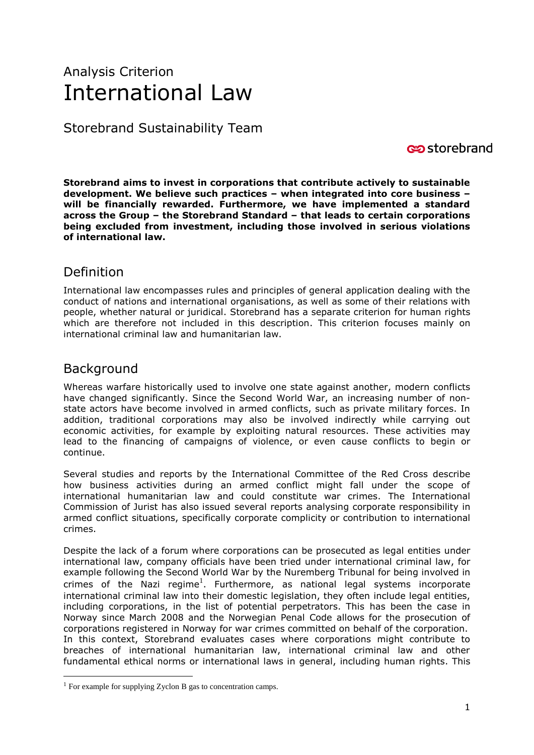# Analysis Criterion International Law

Storebrand Sustainability Team

storebrand

**Storebrand aims to invest in corporations that contribute actively to sustainable development. We believe such practices – when integrated into core business – will be financially rewarded. Furthermore, we have implemented a standard across the Group – the Storebrand Standard – that leads to certain corporations being excluded from investment, including those involved in serious violations of international law.** 

# Definition

International law encompasses rules and principles of general application dealing with the conduct of nations and international organisations, as well as some of their relations with people, whether natural or juridical. Storebrand has a separate criterion for human rights which are therefore not included in this description. This criterion focuses mainly on international criminal law and humanitarian law.

## **Background**

<u>.</u>

Whereas warfare historically used to involve one state against another, modern conflicts have changed significantly. Since the Second World War, an increasing number of nonstate actors have become involved in armed conflicts, such as private military forces. In addition, traditional corporations may also be involved indirectly while carrying out economic activities, for example by exploiting natural resources. These activities may lead to the financing of campaigns of violence, or even cause conflicts to begin or continue.

Several studies and reports by the International Committee of the Red Cross describe how business activities during an armed conflict might fall under the scope of international humanitarian law and could constitute war crimes. The International Commission of Jurist has also issued several reports analysing corporate responsibility in armed conflict situations, specifically corporate complicity or contribution to international crimes.

Despite the lack of a forum where corporations can be prosecuted as legal entities under international law, company officials have been tried under international criminal law, for example following the Second World War by the Nuremberg Tribunal for being involved in crimes of the Nazi regime<sup>1</sup>. Furthermore, as national legal systems incorporate international criminal law into their domestic legislation, they often include legal entities, including corporations, in the list of potential perpetrators. This has been the case in Norway since March 2008 and the Norwegian Penal Code allows for the prosecution of corporations registered in Norway for war crimes committed on behalf of the corporation. In this context, Storebrand evaluates cases where corporations might contribute to breaches of international humanitarian law, international criminal law and other fundamental ethical norms or international laws in general, including human rights. This

 $<sup>1</sup>$  For example for supplying Zyclon B gas to concentration camps.</sup>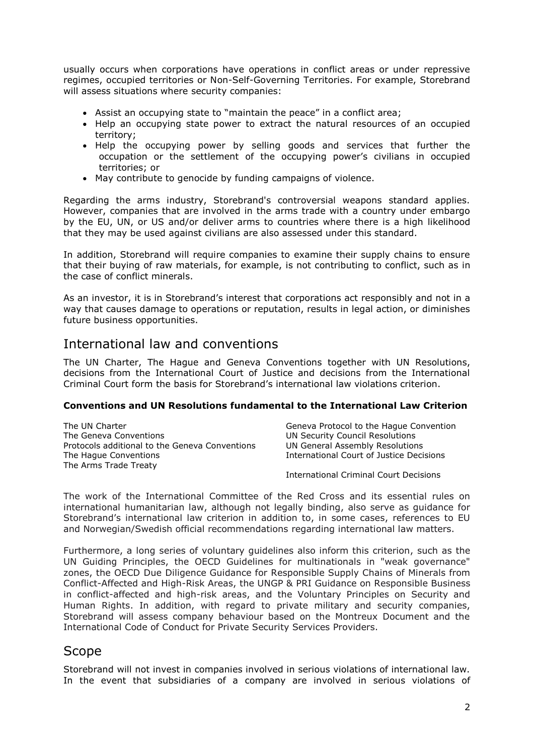usually occurs when corporations have operations in conflict areas or under repressive regimes, occupied territories or Non-Self-Governing Territories. For example, Storebrand will assess situations where security companies:

- Assist an occupying state to "maintain the peace" in a conflict area;
- Help an occupying state power to extract the natural resources of an occupied territory;
- Help the occupying power by selling goods and services that further the occupation or the settlement of the occupying power's civilians in occupied territories; or
- May contribute to genocide by funding campaigns of violence.

Regarding the arms industry, Storebrand's controversial weapons standard applies. However, companies that are involved in the arms trade with a country under embargo by the EU, UN, or US and/or deliver arms to countries where there is a high likelihood that they may be used against civilians are also assessed under this standard.

In addition, Storebrand will require companies to examine their supply chains to ensure that their buying of raw materials, for example, is not contributing to conflict, such as in the case of conflict minerals.

As an investor, it is in Storebrand's interest that corporations act responsibly and not in a way that causes damage to operations or reputation, results in legal action, or diminishes future business opportunities.

## International law and conventions

The UN Charter, The Hague and Geneva Conventions together with UN Resolutions, decisions from the International Court of Justice and decisions from the International Criminal Court form the basis for Storebrand's international law violations criterion.

## **Conventions and UN Resolutions fundamental to the International Law Criterion**

| The UN Charter                                 | Geneva Protocol to the Haque Convention  |
|------------------------------------------------|------------------------------------------|
| The Geneva Conventions                         | UN Security Council Resolutions          |
| Protocols additional to the Geneva Conventions | UN General Assembly Resolutions          |
| The Hague Conventions                          | International Court of Justice Decisions |
| The Arms Trade Treaty                          |                                          |
|                                                |                                          |

International Criminal Court Decisions

The work of the International Committee of the Red Cross and its essential rules on international humanitarian law, although not legally binding, also serve as guidance for Storebrand's international law criterion in addition to, in some cases, references to EU and Norwegian/Swedish official recommendations regarding international law matters.

Furthermore, a long series of voluntary guidelines also inform this criterion, such as the UN Guiding Principles, the OECD Guidelines for multinationals in "weak governance" zones, the OECD Due Diligence Guidance for Responsible Supply Chains of Minerals from Conflict-Affected and High-Risk Areas, the UNGP & PRI Guidance on Responsible Business in conflict-affected and high-risk areas, and the Voluntary Principles on Security and Human Rights. In addition, with regard to private military and security companies, Storebrand will assess company behaviour based on the Montreux Document and the International Code of Conduct for Private Security Services Providers.

## Scope

Storebrand will not invest in companies involved in serious violations of international law. In the event that subsidiaries of a company are involved in serious violations of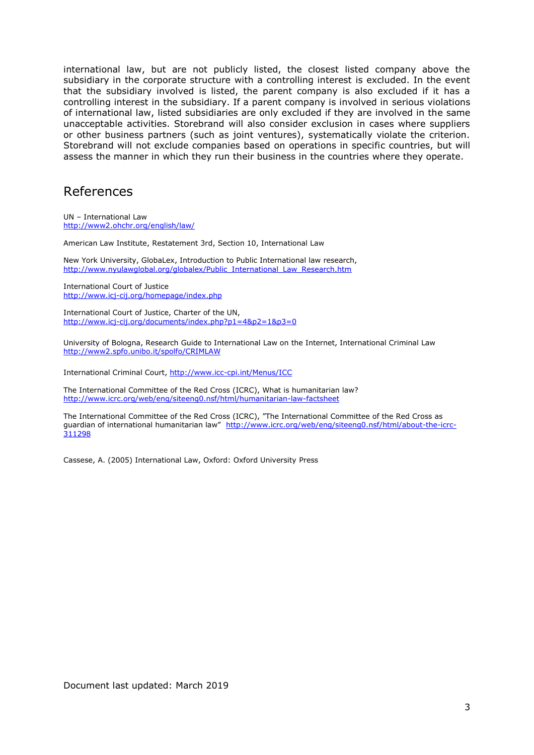international law, but are not publicly listed, the closest listed company above the subsidiary in the corporate structure with a controlling interest is excluded. In the event that the subsidiary involved is listed, the parent company is also excluded if it has a controlling interest in the subsidiary. If a parent company is involved in serious violations of international law, listed subsidiaries are only excluded if they are involved in the same unacceptable activities. Storebrand will also consider exclusion in cases where suppliers or other business partners (such as joint ventures), systematically violate the criterion. Storebrand will not exclude companies based on operations in specific countries, but will assess the manner in which they run their business in the countries where they operate.

## References

UN – International Law <http://www2.ohchr.org/english/law/>

American Law Institute, Restatement 3rd, Section 10, International Law

New York University, GlobaLex, Introduction to Public International law research, [http://www.nyulawglobal.org/globalex/Public\\_International\\_Law\\_Research.htm](http://www.nyulawglobal.org/globalex/Public_International_Law_Research.htm)

International Court of Justice <http://www.icj-cij.org/homepage/index.php>

International Court of Justice, Charter of the UN, <http://www.icj-cij.org/documents/index.php?p1=4&p2=1&p3=0>

University of Bologna, Research Guide to International Law on the Internet, International Criminal Law <http://www2.spfo.unibo.it/spolfo/CRIMLAW>

International Criminal Court,<http://www.icc-cpi.int/Menus/ICC>

The International Committee of the Red Cross (ICRC), What is humanitarian law? <http://www.icrc.org/web/eng/siteeng0.nsf/html/humanitarian-law-factsheet>

The International Committee of the Red Cross (ICRC), "The International Committee of the Red Cross as guardian of international humanitarian law" [http://www.icrc.org/web/eng/siteeng0.nsf/html/about-the-icrc-](http://www.icrc.org/web/eng/siteeng0.nsf/html/about-the-icrc-311298)[311298](http://www.icrc.org/web/eng/siteeng0.nsf/html/about-the-icrc-311298)

Cassese, A. (2005) International Law, Oxford: Oxford University Press